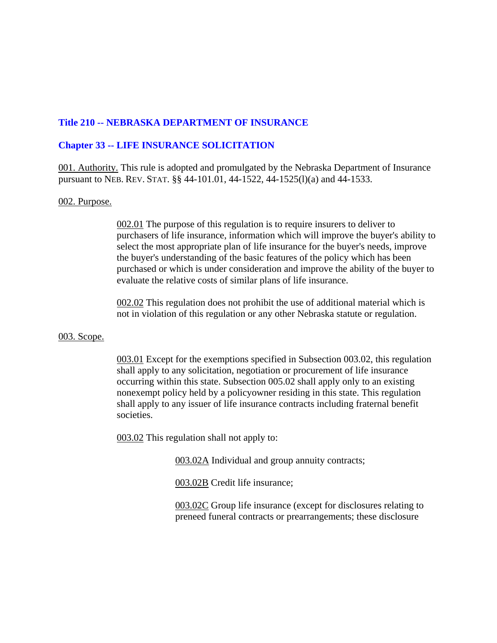# **Title 210 -- NEBRASKA DEPARTMENT OF INSURANCE**

# **Chapter 33 -- LIFE INSURANCE SOLICITATION**

001. Authority. This rule is adopted and promulgated by the Nebraska Department of Insurance pursuant to NEB. REV. STAT. §§ 44-101.01, 44-1522, 44-1525(l)(a) and 44-1533.

## 002. Purpose.

002.01 The purpose of this regulation is to require insurers to deliver to purchasers of life insurance, information which will improve the buyer's ability to select the most appropriate plan of life insurance for the buyer's needs, improve the buyer's understanding of the basic features of the policy which has been purchased or which is under consideration and improve the ability of the buyer to evaluate the relative costs of similar plans of life insurance.

002.02 This regulation does not prohibit the use of additional material which is not in violation of this regulation or any other Nebraska statute or regulation.

#### 003. Scope.

003.01 Except for the exemptions specified in Subsection 003.02, this regulation shall apply to any solicitation, negotiation or procurement of life insurance occurring within this state. Subsection 005.02 shall apply only to an existing nonexempt policy held by a policyowner residing in this state. This regulation shall apply to any issuer of life insurance contracts including fraternal benefit societies.

003.02 This regulation shall not apply to:

003.02A Individual and group annuity contracts;

003.02B Credit life insurance;

003.02C Group life insurance (except for disclosures relating to preneed funeral contracts or prearrangements; these disclosure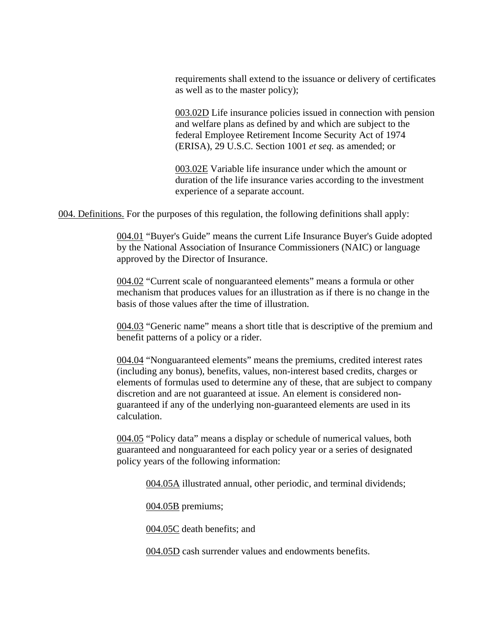requirements shall extend to the issuance or delivery of certificates as well as to the master policy);

003.02D Life insurance policies issued in connection with pension and welfare plans as defined by and which are subject to the federal Employee Retirement Income Security Act of 1974 (ERISA), 29 U.S.C. Section 1001 *et seq.* as amended; or

003.02E Variable life insurance under which the amount or duration of the life insurance varies according to the investment experience of a separate account.

004. Definitions. For the purposes of this regulation, the following definitions shall apply:

004.01 "Buyer's Guide" means the current Life Insurance Buyer's Guide adopted by the National Association of Insurance Commissioners (NAIC) or language approved by the Director of Insurance.

004.02 "Current scale of nonguaranteed elements" means a formula or other mechanism that produces values for an illustration as if there is no change in the basis of those values after the time of illustration.

004.03 "Generic name" means a short title that is descriptive of the premium and benefit patterns of a policy or a rider.

004.04 "Nonguaranteed elements" means the premiums, credited interest rates (including any bonus), benefits, values, non-interest based credits, charges or elements of formulas used to determine any of these, that are subject to company discretion and are not guaranteed at issue. An element is considered nonguaranteed if any of the underlying non-guaranteed elements are used in its calculation.

004.05 "Policy data" means a display or schedule of numerical values, both guaranteed and nonguaranteed for each policy year or a series of designated policy years of the following information:

004.05A illustrated annual, other periodic, and terminal dividends;

004.05B premiums;

004.05C death benefits; and

004.05D cash surrender values and endowments benefits.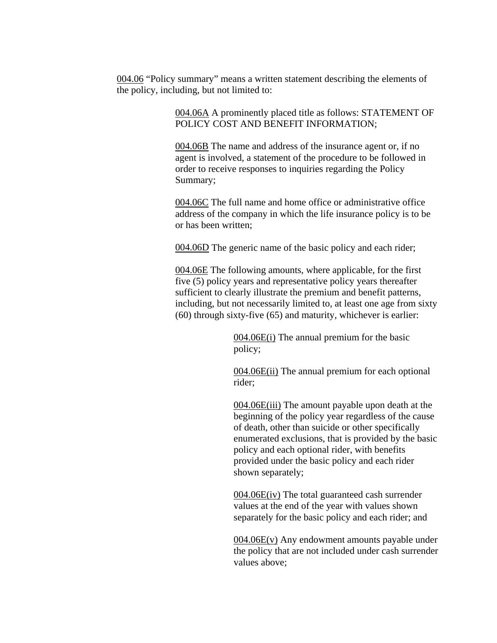004.06 "Policy summary" means a written statement describing the elements of the policy, including, but not limited to:

> 004.06A A prominently placed title as follows: STATEMENT OF POLICY COST AND BENEFIT INFORMATION;

004.06B The name and address of the insurance agent or, if no agent is involved, a statement of the procedure to be followed in order to receive responses to inquiries regarding the Policy Summary;

004.06C The full name and home office or administrative office address of the company in which the life insurance policy is to be or has been written;

004.06D The generic name of the basic policy and each rider;

004.06E The following amounts, where applicable, for the first five (5) policy years and representative policy years thereafter sufficient to clearly illustrate the premium and benefit patterns, including, but not necessarily limited to, at least one age from sixty (60) through sixty-five (65) and maturity, whichever is earlier:

> 004.06E(i) The annual premium for the basic policy;

004.06E(ii) The annual premium for each optional rider;

004.06E(iii) The amount payable upon death at the beginning of the policy year regardless of the cause of death, other than suicide or other specifically enumerated exclusions, that is provided by the basic policy and each optional rider, with benefits provided under the basic policy and each rider shown separately;

004.06E(iv) The total guaranteed cash surrender values at the end of the year with values shown separately for the basic policy and each rider; and

 $004.06E(v)$  Any endowment amounts payable under the policy that are not included under cash surrender values above;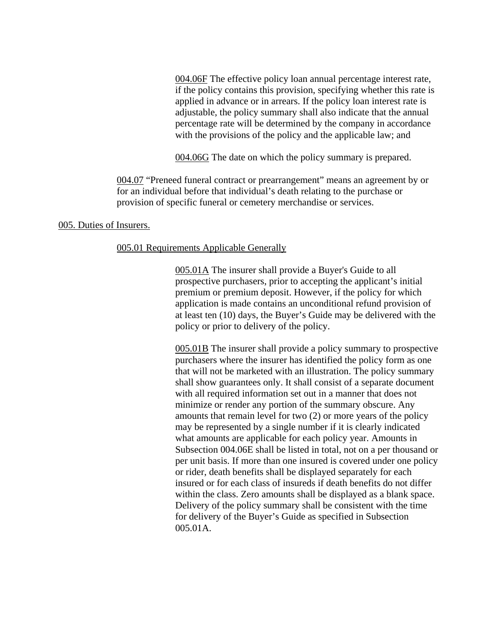004.06F The effective policy loan annual percentage interest rate, if the policy contains this provision, specifying whether this rate is applied in advance or in arrears. If the policy loan interest rate is adjustable, the policy summary shall also indicate that the annual percentage rate will be determined by the company in accordance with the provisions of the policy and the applicable law; and

004.06G The date on which the policy summary is prepared.

004.07 "Preneed funeral contract or prearrangement" means an agreement by or for an individual before that individual's death relating to the purchase or provision of specific funeral or cemetery merchandise or services.

## 005. Duties of Insurers.

## 005.01 Requirements Applicable Generally

005.01A The insurer shall provide a Buyer's Guide to all prospective purchasers, prior to accepting the applicant's initial premium or premium deposit. However, if the policy for which application is made contains an unconditional refund provision of at least ten (10) days, the Buyer's Guide may be delivered with the policy or prior to delivery of the policy.

005.01B The insurer shall provide a policy summary to prospective purchasers where the insurer has identified the policy form as one that will not be marketed with an illustration. The policy summary shall show guarantees only. It shall consist of a separate document with all required information set out in a manner that does not minimize or render any portion of the summary obscure. Any amounts that remain level for two (2) or more years of the policy may be represented by a single number if it is clearly indicated what amounts are applicable for each policy year. Amounts in Subsection 004.06E shall be listed in total, not on a per thousand or per unit basis. If more than one insured is covered under one policy or rider, death benefits shall be displayed separately for each insured or for each class of insureds if death benefits do not differ within the class. Zero amounts shall be displayed as a blank space. Delivery of the policy summary shall be consistent with the time for delivery of the Buyer's Guide as specified in Subsection 005.01A.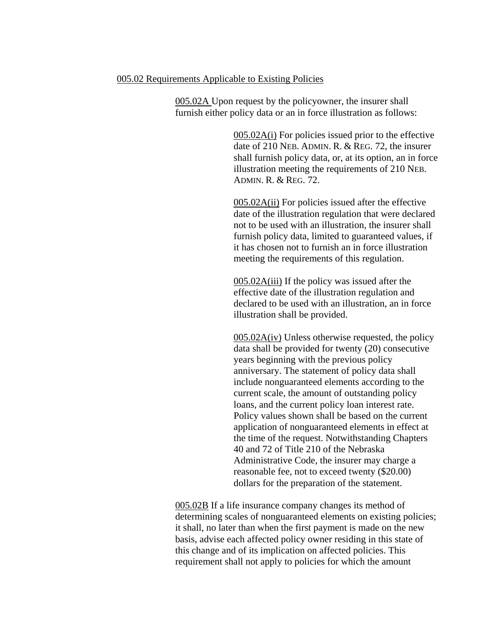#### 005.02 Requirements Applicable to Existing Policies

005.02A Upon request by the policyowner, the insurer shall furnish either policy data or an in force illustration as follows:

> 005.02A(i) For policies issued prior to the effective date of 210 NEB. ADMIN. R. & REG. 72, the insurer shall furnish policy data, or, at its option, an in force illustration meeting the requirements of 210 NEB. ADMIN. R. & REG. 72.

005.02A(ii) For policies issued after the effective date of the illustration regulation that were declared not to be used with an illustration, the insurer shall furnish policy data, limited to guaranteed values, if it has chosen not to furnish an in force illustration meeting the requirements of this regulation.

005.02A(iii) If the policy was issued after the effective date of the illustration regulation and declared to be used with an illustration, an in force illustration shall be provided.

005.02A(iv) Unless otherwise requested, the policy data shall be provided for twenty (20) consecutive years beginning with the previous policy anniversary. The statement of policy data shall include nonguaranteed elements according to the current scale, the amount of outstanding policy loans, and the current policy loan interest rate. Policy values shown shall be based on the current application of nonguaranteed elements in effect at the time of the request. Notwithstanding Chapters 40 and 72 of Title 210 of the Nebraska Administrative Code, the insurer may charge a reasonable fee, not to exceed twenty (\$20.00) dollars for the preparation of the statement.

005.02B If a life insurance company changes its method of determining scales of nonguaranteed elements on existing policies; it shall, no later than when the first payment is made on the new basis, advise each affected policy owner residing in this state of this change and of its implication on affected policies. This requirement shall not apply to policies for which the amount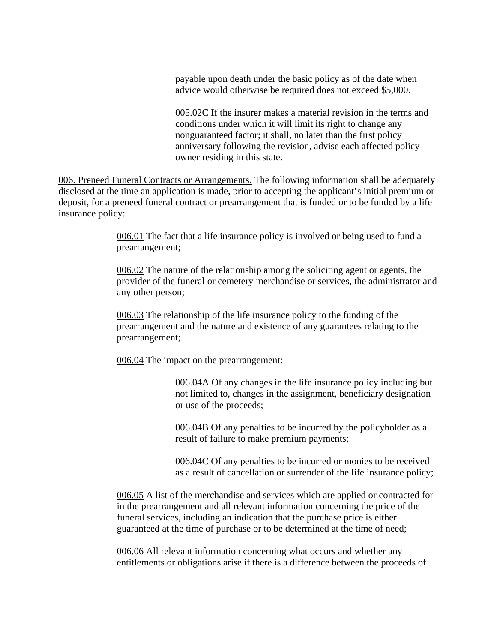payable upon death under the basic policy as of the date when advice would otherwise be required does not exceed \$5,000.

005.02C If the insurer makes a material revision in the terms and conditions under which it will limit its right to change any nonguaranteed factor; it shall, no later than the first policy anniversary following the revision, advise each affected policy owner residing in this state.

006. Preneed Funeral Contracts or Arrangements. The following information shall be adequately disclosed at the time an application is made, prior to accepting the applicant's initial premium or deposit, for a preneed funeral contract or prearrangement that is funded or to be funded by a life insurance policy:

> 006.01 The fact that a life insurance policy is involved or being used to fund a prearrangement;

006.02 The nature of the relationship among the soliciting agent or agents, the provider of the funeral or cemetery merchandise or services, the administrator and any other person;

006.03 The relationship of the life insurance policy to the funding of the prearrangement and the nature and existence of any guarantees relating to the prearrangement;

006.04 The impact on the prearrangement:

006.04A Of any changes in the life insurance policy including but not limited to, changes in the assignment, beneficiary designation or use of the proceeds;

006.04B Of any penalties to be incurred by the policyholder as a result of failure to make premium payments;

006.04C Of any penalties to be incurred or monies to be received as a result of cancellation or surrender of the life insurance policy;

006.05 A list of the merchandise and services which are applied or contracted for in the prearrangement and all relevant information concerning the price of the funeral services, including an indication that the purchase price is either guaranteed at the time of purchase or to be determined at the time of need;

006.06 All relevant information concerning what occurs and whether any entitlements or obligations arise if there is a difference between the proceeds of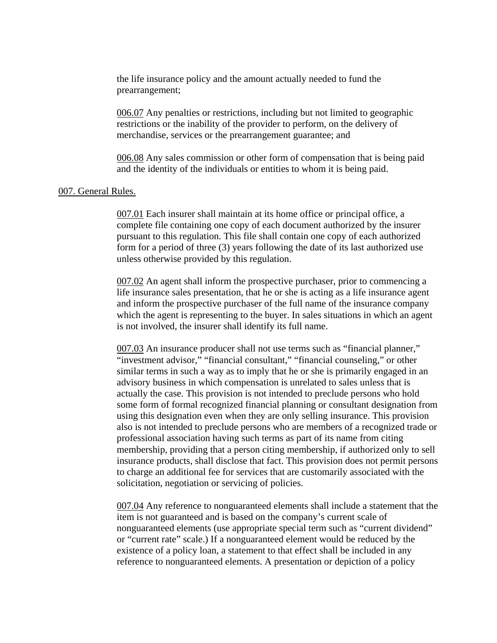the life insurance policy and the amount actually needed to fund the prearrangement;

006.07 Any penalties or restrictions, including but not limited to geographic restrictions or the inability of the provider to perform, on the delivery of merchandise, services or the prearrangement guarantee; and

006.08 Any sales commission or other form of compensation that is being paid and the identity of the individuals or entities to whom it is being paid.

#### 007. General Rules.

007.01 Each insurer shall maintain at its home office or principal office, a complete file containing one copy of each document authorized by the insurer pursuant to this regulation. This file shall contain one copy of each authorized form for a period of three (3) years following the date of its last authorized use unless otherwise provided by this regulation.

007.02 An agent shall inform the prospective purchaser, prior to commencing a life insurance sales presentation, that he or she is acting as a life insurance agent and inform the prospective purchaser of the full name of the insurance company which the agent is representing to the buyer. In sales situations in which an agent is not involved, the insurer shall identify its full name.

007.03 An insurance producer shall not use terms such as "financial planner," "investment advisor," "financial consultant," "financial counseling," or other similar terms in such a way as to imply that he or she is primarily engaged in an advisory business in which compensation is unrelated to sales unless that is actually the case. This provision is not intended to preclude persons who hold some form of formal recognized financial planning or consultant designation from using this designation even when they are only selling insurance. This provision also is not intended to preclude persons who are members of a recognized trade or professional association having such terms as part of its name from citing membership, providing that a person citing membership, if authorized only to sell insurance products, shall disclose that fact. This provision does not permit persons to charge an additional fee for services that are customarily associated with the solicitation, negotiation or servicing of policies.

007.04 Any reference to nonguaranteed elements shall include a statement that the item is not guaranteed and is based on the company's current scale of nonguaranteed elements (use appropriate special term such as "current dividend" or "current rate" scale.) If a nonguaranteed element would be reduced by the existence of a policy loan, a statement to that effect shall be included in any reference to nonguaranteed elements. A presentation or depiction of a policy